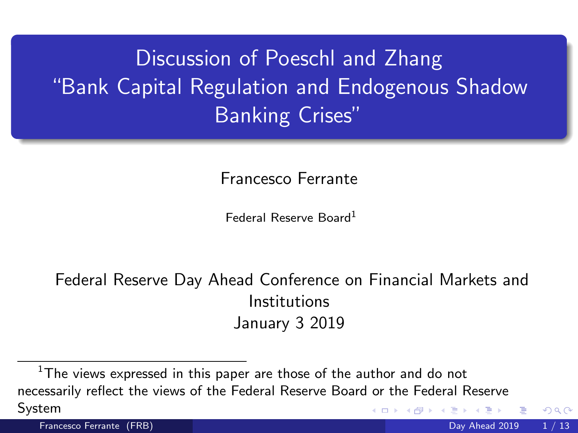Discussion of Poeschl and Zhang "Bank Capital Regulation and Endogenous Shadow Banking Crises"

Francesco Ferrante

Federal Reserve Board<sup>1</sup>

Federal Reserve Day Ahead Conference on Financial Markets and Institutions January 3 2019

 $\Omega$ 

 $1$ The views expressed in this paper are those of the author and do not necessarily reflect the views of the Federal Reserve Board or the Federal Reserve System 4 0 8

Francesco Ferrante (FRB) Day Ahead 2019 1 / 13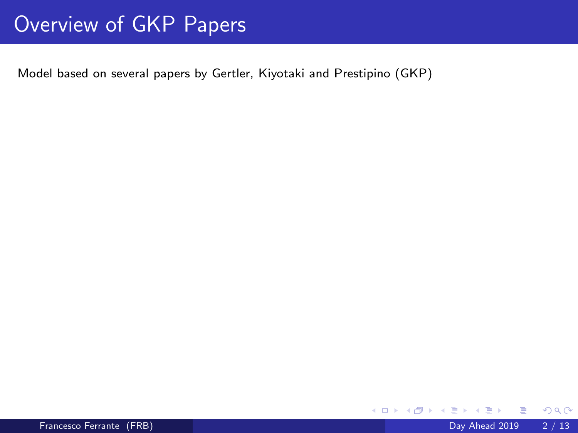# Overview of GKP Papers

Model based on several papers by Gertler, Kiyotaki and Prestipino (GKP)

э

**K ロ ▶ K 何 ▶**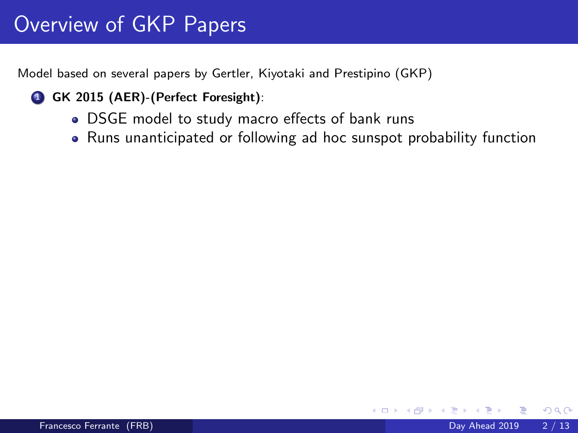# Overview of GKP Papers

Model based on several papers by Gertler, Kiyotaki and Prestipino (GKP)

- **1 GK 2015 (AER)-(Perfect Foresight):** 
	- DSGE model to study macro effects of bank runs
	- Runs unanticipated or following ad hoc sunspot probability function

4 0 8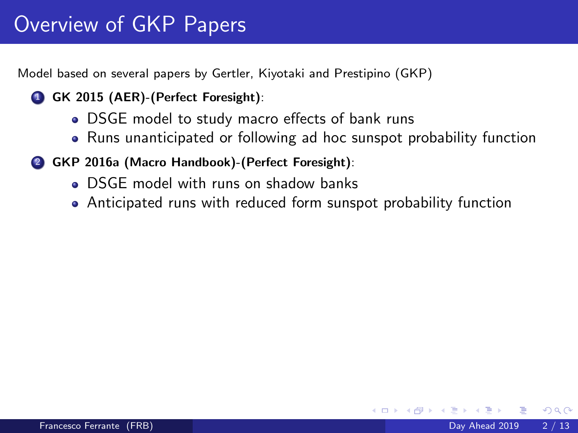Model based on several papers by Gertler, Kiyotaki and Prestipino (GKP)

- **1 GK 2015 (AER)-(Perfect Foresight):** 
	- DSGE model to study macro effects of bank runs
	- Runs unanticipated or following ad hoc sunspot probability function
- 2 GKP 2016a (Macro Handbook)-(Perfect Foresight):
	- DSGE model with runs on shadow banks
	- Anticipated runs with reduced form sunspot probability function

4 0 8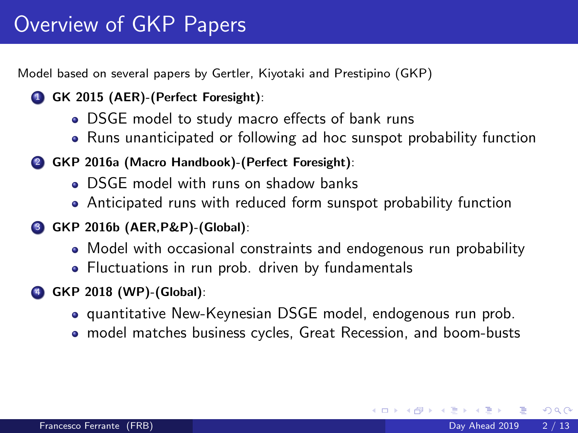Model based on several papers by Gertler, Kiyotaki and Prestipino (GKP)

- **1 GK 2015 (AER)-(Perfect Foresight):** 
	- DSGE model to study macro effects of bank runs
	- Runs unanticipated or following ad hoc sunspot probability function
- 2 GKP 2016a (Macro Handbook)-(Perfect Foresight):
	- **.** DSGE model with runs on shadow banks
	- Anticipated runs with reduced form sunspot probability function
- 3 GKP 2016b (AER,P&P)-(Global):
	- Model with occasional constraints and endogenous run probability
	- Fluctuations in run prob. driven by fundamentals
- 4 GKP 2018 (WP)-(Global):
	- **•** quantitative New-Keynesian DSGE model, endogenous run prob.
	- model matches business cycles, Great Recession, and boom-busts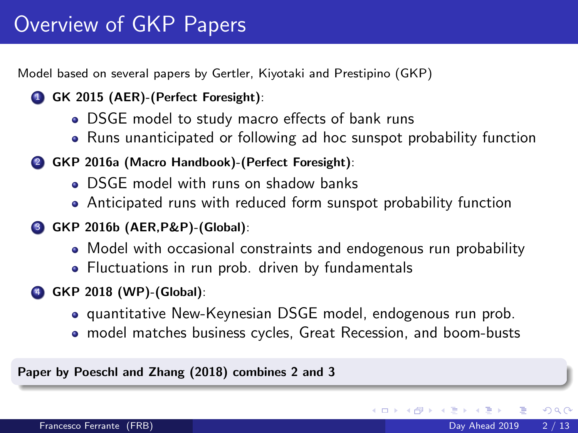Model based on several papers by Gertler, Kiyotaki and Prestipino (GKP)

- **1 GK 2015 (AER)-(Perfect Foresight):** 
	- DSGE model to study macro effects of bank runs
	- Runs unanticipated or following ad hoc sunspot probability function
- 2 GKP 2016a (Macro Handbook)-(Perfect Foresight):
	- **DSGE** model with runs on shadow banks
	- Anticipated runs with reduced form sunspot probability function
- 3 GKP 2016b (AER,P&P)-(Global):
	- Model with occasional constraints and endogenous run probability
	- Fluctuations in run prob. driven by fundamentals
- 4 GKP 2018 (WP)-(Global):
	- quantitative New-Keynesian DSGE model, endogenous run prob.
	- model matches business cycles, Great Recession, and boom-busts

Paper by Poeschl and Zhang (2018) combines 2 and 3

 $\Omega$ 

**K ロ ト K 何 ト K**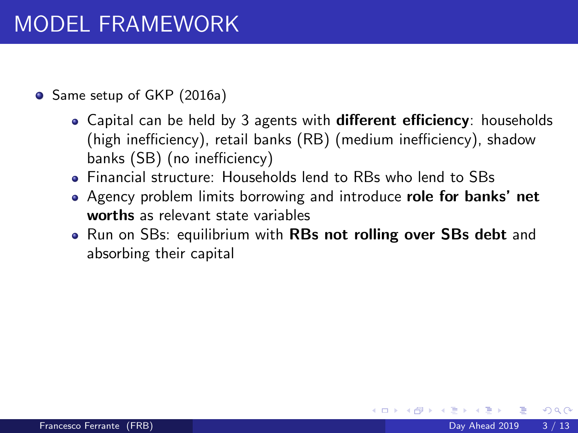- Same setup of GKP (2016a)
	- Capital can be held by 3 agents with **different efficiency**: households (high inefficiency), retail banks (RB) (medium inefficiency), shadow banks (SB) (no inefficiency)
	- Financial structure: Households lend to RBs who lend to SBs
	- Agency problem limits borrowing and introduce role for banks' net worths as relevant state variables
	- Run on SBs: equilibrium with RBs not rolling over SBs debt and absorbing their capital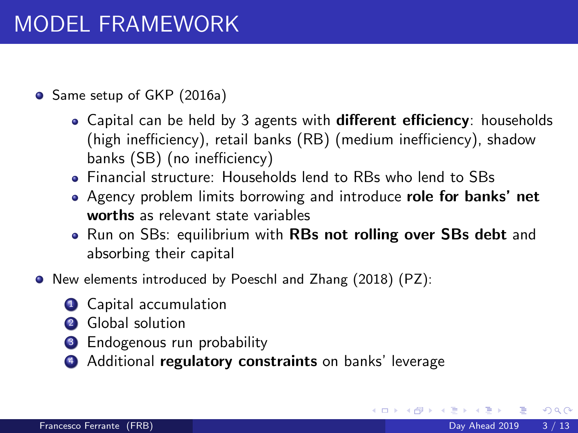- Same setup of GKP (2016a)
	- Capital can be held by 3 agents with **different efficiency**: households (high inefficiency), retail banks (RB) (medium inefficiency), shadow banks (SB) (no inefficiency)
	- Financial structure: Households lend to RBs who lend to SBs
	- Agency problem limits borrowing and introduce role for banks' net worths as relevant state variables
	- Run on SBs: equilibrium with RBs not rolling over SBs debt and absorbing their capital
- New elements introduced by Poeschl and Zhang (2018) (PZ):
	- **1** Capital accumulation
	- 2 Global solution
	- <sup>3</sup> Endogenous run probability
	- Additional regulatory constraints on banks' leverage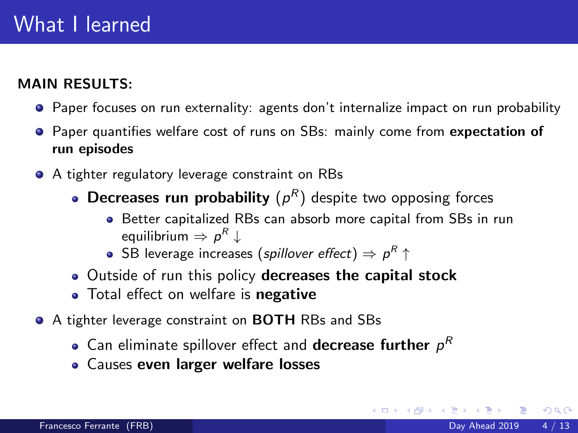#### MAIN RESULTS:

- Paper focuses on run externality: agents don't internalize impact on run probability
- **Paper quantifies welfare cost of runs on SBs: mainly come from expectation of** run episodes
- A tighter regulatory leverage constraint on RBs
	- **Decreases run probability**  $(p^R)$  despite two opposing forces
		- Better capitalized RBs can absorb more capital from SBs in run equilibrium  $\Rightarrow$   $\rho^R \downarrow$
		- <code>SB</code> leverage increases (*spillover effect*)  $\Rightarrow$   $\rho^R$   $\uparrow$
	- Outside of run this policy decreases the capital stock
	- Total effect on welfare is negative
- A tighter leverage constraint on **BOTH** RBs and SBs
	- Can eliminate spillover effect and **decrease further**  $\rho^R$
	- Causes even larger welfare losses

 $QQ$ 

メロト メ都 トメ ヨ トメ ヨ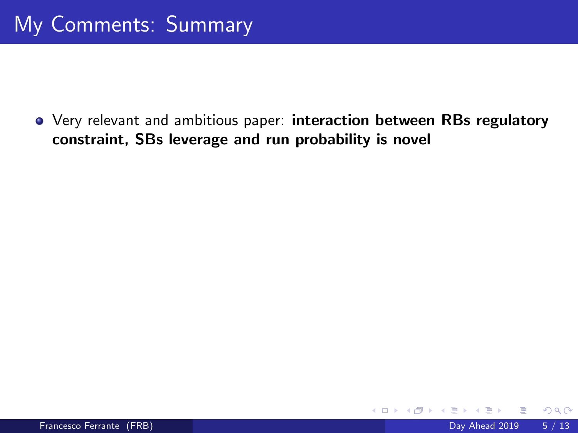Very relevant and ambitious paper: interaction between RBs regulatory constraint, SBs leverage and run probability is novel

4 0 8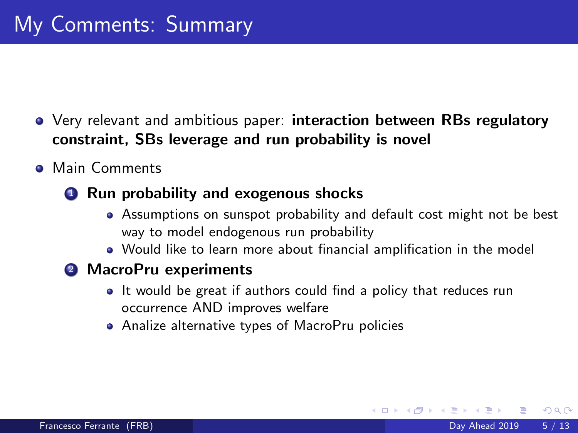- Very relevant and ambitious paper: interaction between RBs regulatory constraint, SBs leverage and run probability is novel
- **A** Main Comments
	- **1** Run probability and exogenous shocks
		- Assumptions on sunspot probability and default cost might not be best way to model endogenous run probability
		- Would like to learn more about financial amplification in the model
	- <sup>2</sup> MacroPru experiments
		- It would be great if authors could find a policy that reduces run occurrence AND improves welfare
		- Analize alternative types of MacroPru policies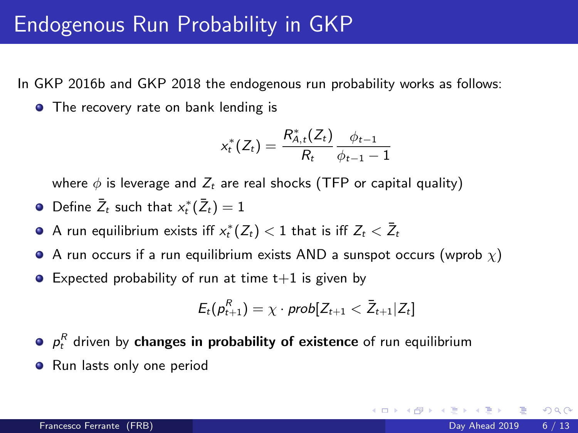In GKP 2016b and GKP 2018 the endogenous run probability works as follows:

• The recovery rate on bank lending is

$$
x_t^*(Z_t) = \frac{R_{A,t}^*(Z_t)}{R_t} \frac{\phi_{t-1}}{\phi_{t-1} - 1}
$$

where  $\phi$  is leverage and  $Z_t$  are real shocks (TFP or capital quality)

- Define  $\bar{Z}_t$  such that  $x_t^*(\bar{Z}_t) = 1$
- A run equilibrium exists iff  $x_t^*(Z_t) < 1$  that is iff  $Z_t < \bar{Z}_t$
- A run occurs if a run equilibrium exists AND a sunspot occurs (wprob  $\chi$ )
- $\bullet$  Expected probability of run at time  $t+1$  is given by

$$
E_t(p_{t+1}^R) = \chi \cdot prob[Z_{t+1} < \bar{Z}_{t+1} | Z_t]
$$

- $p_t^R$  driven by changes in probability of existence of run equilibrium
- **•** Run lasts only one period

 $200$ 

**K ロ ト K 何 ト K ヨ ト K**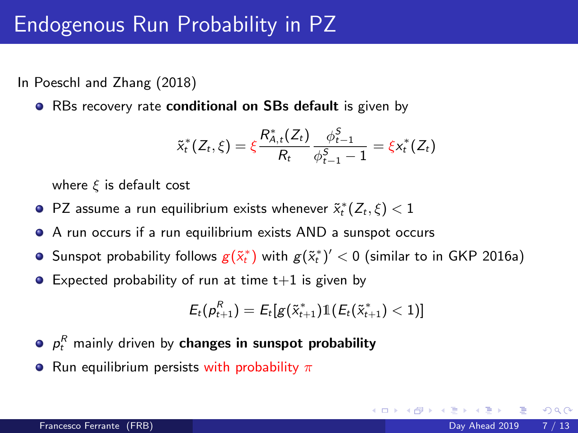### Endogenous Run Probability in PZ

In Poeschl and Zhang (2018)

• RBs recovery rate conditional on SBs default is given by

$$
\tilde{x}_{t}^{*}(Z_{t},\xi)=\xi\frac{R_{A,t}^{*}(Z_{t})}{R_{t}}\frac{\phi_{t-1}^{S}}{\phi_{t-1}^{S}-1}=\xi x_{t}^{*}(Z_{t})
$$

where  $\xi$  is default cost

- <code>PZ</code> assume a run equilibrium exists whenever  $\tilde{x}_t^*(Z_t,\xi) < 1$
- A run occurs if a run equilibrium exists AND a sunspot occurs
- Sunspot probability follows  $g(\tilde{x}_t^*)$  with  $g(\tilde{x}_t^*)'< 0$  (similar to in GKP 2016a)
- $\bullet$  Expected probability of run at time  $t+1$  is given by

$$
E_t(p_{t+1}^R) = E_t[g(\tilde{x}_{t+1}^*) 1\!\!1(E_t(\tilde{x}_{t+1}^*) < 1)]
$$

- $\rho_{t}^{R}$  mainly driven by changes in sunspot probability
- Run equilibrium persists with probability  $\pi$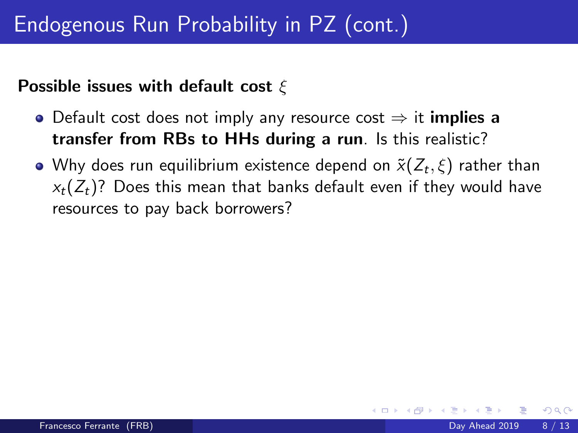### Possible issues with default cost  $\xi$

- Default cost does not imply any resource cost  $\Rightarrow$  it **implies a** transfer from RBs to HHs during a run. Is this realistic?
- Why does run equilibrium existence depend on  $\tilde{\mathsf{x}}(Z_t,\xi)$  rather than  $x_t(Z_t)$ ? Does this mean that banks default even if they would have resources to pay back borrowers?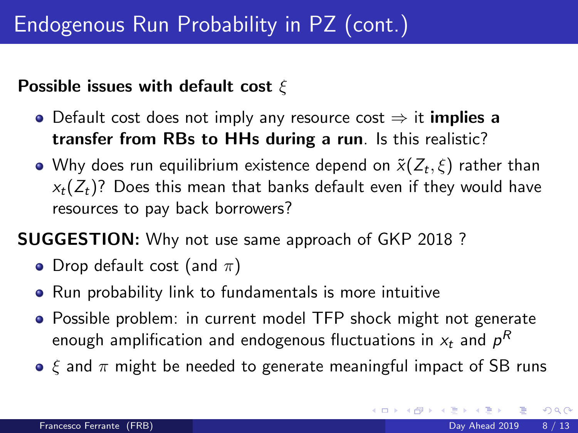### Possible issues with default cost  $\xi$

- Default cost does not imply any resource cost  $\Rightarrow$  it **implies a** transfer from RBs to HHs during a run. Is this realistic?
- Why does run equilibrium existence depend on  $\tilde{\mathsf{x}}(Z_t,\xi)$  rather than  $x_t(Z_t)$ ? Does this mean that banks default even if they would have resources to pay back borrowers?

SUGGESTION: Why not use same approach of GKP 2018 ?

- Drop default cost (and  $\pi$ )
- Run probability link to fundamentals is more intuitive
- Possible problem: in current model TFP shock might not generate enough amplification and endogenous fluctuations in  $\varkappa_t$  and  $\rho^R$
- $\bullet$   $\xi$  and  $\pi$  might be needed to generate meaningful impact of SB runs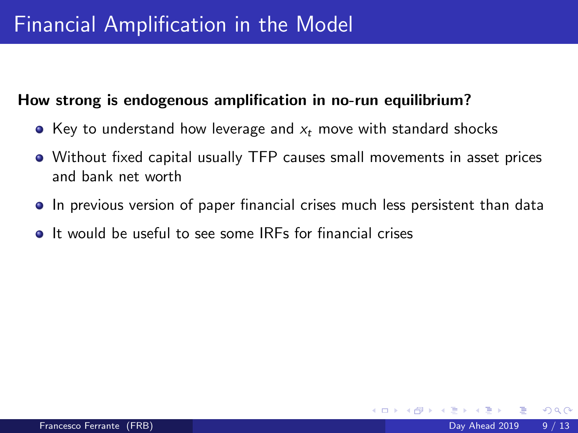# Financial Amplification in the Model

#### How strong is endogenous amplification in no-run equilibrium?

- Key to understand how leverage and  $x_t$  move with standard shocks
- Without fixed capital usually TFP causes small movements in asset prices and bank net worth
- In previous version of paper financial crises much less persistent than data
- **It would be useful to see some IRFs for financial crises**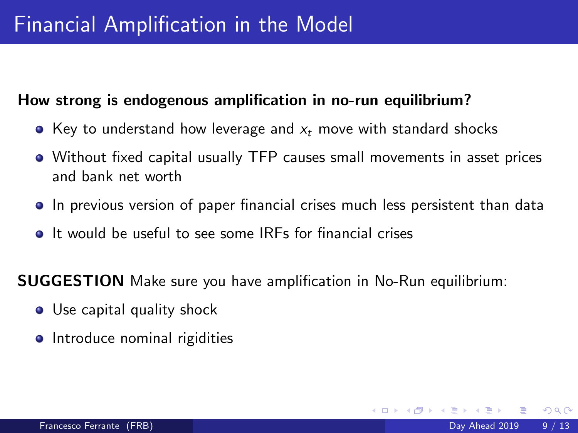# Financial Amplification in the Model

#### How strong is endogenous amplification in no-run equilibrium?

- Key to understand how leverage and  $x_t$  move with standard shocks
- Without fixed capital usually TFP causes small movements in asset prices and bank net worth
- In previous version of paper financial crises much less persistent than data
- **It would be useful to see some IRFs for financial crises**

SUGGESTION Make sure you have amplification in No-Run equilibrium:

- Use capital quality shock
- Introduce nominal rigidities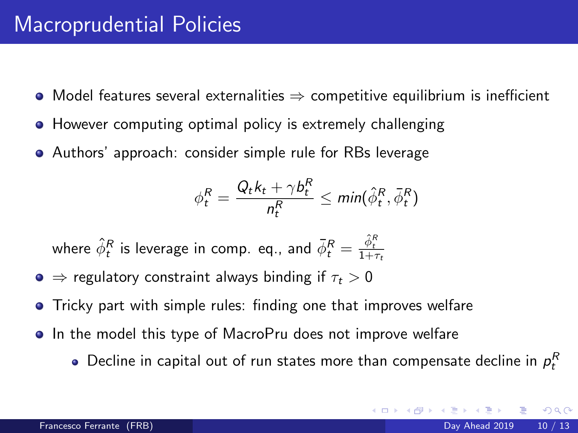# Macroprudential Policies

- $\bullet$  Model features several externalities  $\Rightarrow$  competitive equilibrium is inefficient
- **However computing optimal policy is extremely challenging**
- Authors' approach: consider simple rule for RBs leverage

$$
\phi_t^R = \frac{Q_t k_t + \gamma b_t^R}{n_t^R} \leq \min(\hat{\phi}_t^R, \bar{\phi}_t^R)
$$

where  $\hat{\phi}^{R}_{t}$  is leverage in comp. eq., and  $\bar{\phi}^{R}_{t} = \frac{\hat{\phi}^{R}_{t}}{1+\tau_{t}}$ 

- $\bullet \Rightarrow$  regulatory constraint always binding if  $\tau_{\star} > 0$
- **•** Tricky part with simple rules: finding one that improves welfare
- In the model this type of MacroPru does not improve welfare
	- Decline in capital out of run states more than compensate decline in  $\rho_{t}^{R}$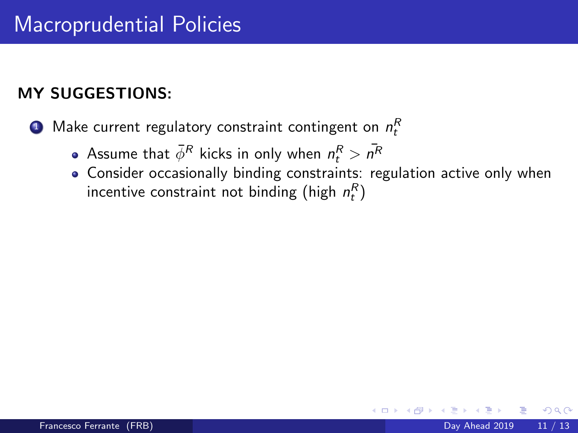### MY SUGGESTIONS:

 $\textbf{D}$  Make current regulatory constraint contingent on  $n_t^R$ 

- Assume that  $\bar{\phi}^R$  kicks in only when  $n_t^R > \bar{n^R}$
- Consider occasionally binding constraints: regulation active only when incentive constraint not binding (high  $n_t^R$ )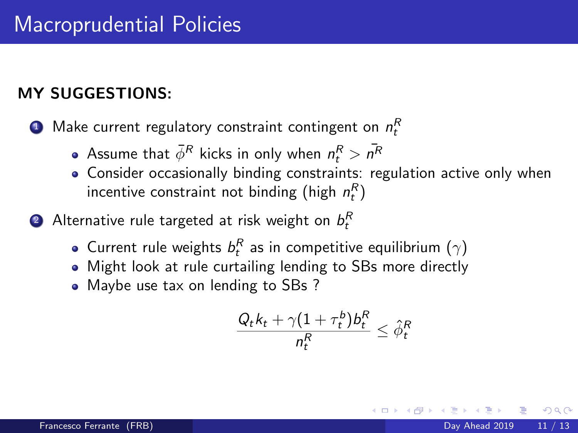### MY SUGGESTIONS:

 $\textbf{D}$  Make current regulatory constraint contingent on  $n_t^R$ 

- Assume that  $\bar{\phi}^R$  kicks in only when  $n_t^R > \bar{n^R}$
- Consider occasionally binding constraints: regulation active only when incentive constraint not binding (high  $n_t^R$ )
- $\bullet$  Alternative rule targeted at risk weight on  $b_t^R$ 
	- Current rule weights  $b_t^R$  as in competitive equilibrium  $(\gamma)$
	- Might look at rule curtailing lending to SBs more directly
	- Maybe use tax on lending to SBs ?

$$
\frac{Q_t k_t + \gamma (1+\tau^b_t) b^R_t}{n^R_t} \leq \hat{\phi}^R_t
$$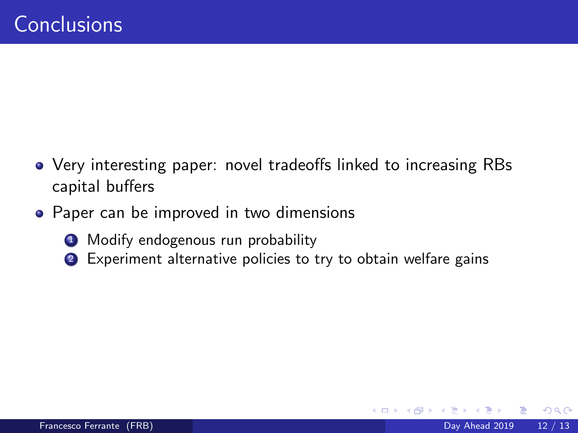- Very interesting paper: novel tradeoffs linked to increasing RBs capital buffers
- Paper can be improved in two dimensions
	- **1** Modify endogenous run probability
	- <sup>2</sup> Experiment alternative policies to try to obtain welfare gains

4 0 8